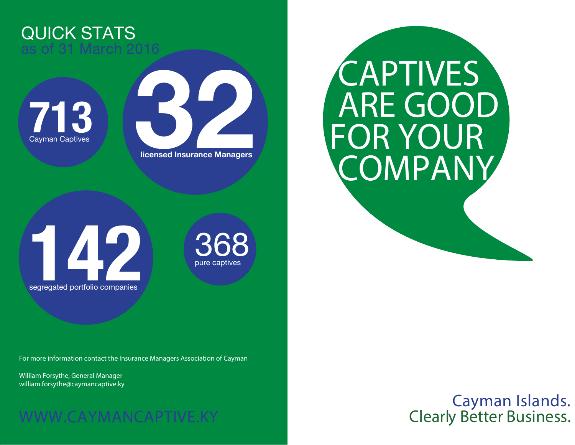## QUICK STATS as of 31 March 2016





## CAPTIVES ARE GOOD COMPANY FOR YOUR

**142** segregated portfolio companies

368 pure captives

For more information contact the Insurance Managers Association of Cayman

William Forsythe, General Manager william.forsythe@caymancaptive.ky

## WWW.CAYMANCAPTIVE.KY

Cayman Islands. Clearly Better Business.